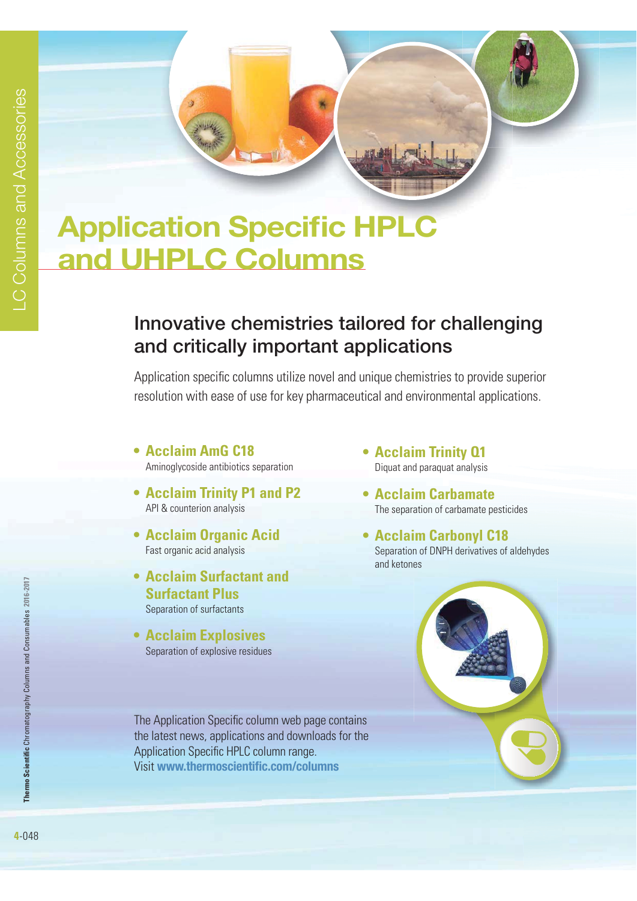# **Application Specific HPLC and UHPLC Columns**

# **Innovative chemistries tailored for challenging and critically important applications**

Application specific columns utilize novel and unique chemistries to provide superior resolution with ease of use for key pharmaceutical and environmental applications.

- **Acclaim AmG C18** Aminoglycoside antibiotics separation
- **Acclaim Trinity P1 and P2** API & counterion analysis
- **Acclaim Organic Acid** Fast organic acid analysis
- **Acclaim Surfactant and Surfactant Plus** Separation of surfactants
- **Acclaim Explosives** Separation of explosive residues

The Application Specific column web page contains the latest news, applications and downloads for the Application Specific HPLC column range. Visit **www.thermoscientific.com/columns**

- **Acclaim Trinity 01** Diquat and paraquat analysis
- **Acclaim Carbamate** The separation of carbamate pesticides
- **Acclaim Carbonyl C18**  Separation of DNPH derivatives of aldehydes and ketones



**Thermo Scientific** Chromatography Columns and Consumables **2016-2017**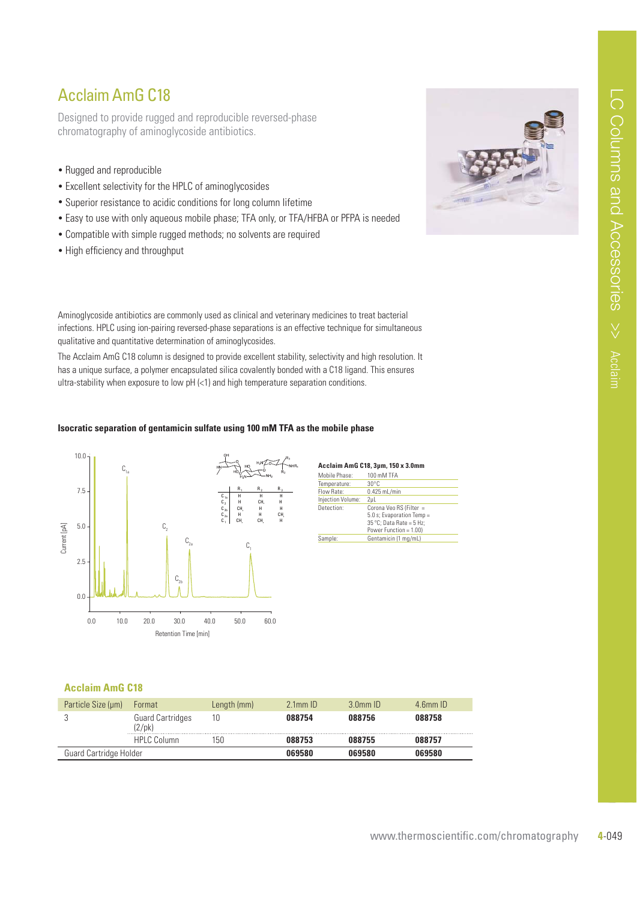### Acclaim AmG C18

Designed to provide rugged and reproducible reversed-phase chromatography of aminoglycoside antibiotics.

- Rugged and reproducible
- Excellent selectivity for the HPLC of aminoglycosides
- Superior resistance to acidic conditions for long column lifetime
- Easy to use with only aqueous mobile phase; TFA only, or TFA/HFBA or PFPA is needed
- Compatible with simple rugged methods; no solvents are required
- High efficiency and throughput

Aminoglycoside antibiotics are commonly used as clinical and veterinary medicines to treat bacterial infections. HPLC using ion-pairing reversed-phase separations is an effective technique for simultaneous qualitative and quantitative determination of aminoglycosides.

The Acclaim AmG C18 column is designed to provide excellent stability, selectivity and high resolution. It has a unique surface, a polymer encapsulated silica covalently bonded with a C18 ligand. This ensures ultra-stability when exposure to low  $pH \leq 1$  and high temperature separation conditions.

#### **Isocratic separation of gentamicin sulfate using 100 mM TFA as the mobile phase**



| Acclaim AmG C18, 3µm, 150 x 3.0mm |  |  |
|-----------------------------------|--|--|
|-----------------------------------|--|--|

| Mobile Phase:     | 100 mM TFA                                                                                                          |
|-------------------|---------------------------------------------------------------------------------------------------------------------|
| Temperature:      | $30^{\circ}$ C                                                                                                      |
| Flow Rate:        | $0.425$ mL/min                                                                                                      |
| Injection Volume: | 2ul                                                                                                                 |
| Detection:        | Corona Veo RS (Filter =<br>5.0 s: Evaporation Temp =<br>$35^{\circ}$ C: Data Rate = 5 Hz:<br>Power Function = 1.00) |
| Sample:           | Gentamicin (1 mg/mL)                                                                                                |

#### **Acclaim AmG C18**

| Particle Size (um)     | Format                                     | Length (mm) | $2.1$ mm $ID$ | $3.0$ mm $ID$ | $4.6$ mm $ID$ |
|------------------------|--------------------------------------------|-------------|---------------|---------------|---------------|
|                        | <b>Guard Cartridges</b><br>$(2/\text{pk})$ | 10          | 088754        | 088756        | 088758        |
|                        | HPLC Column                                | 150         | 088753        | 088755        | 088757        |
| Guard Cartridge Holder |                                            |             | 069580        | 069580        | 069580        |

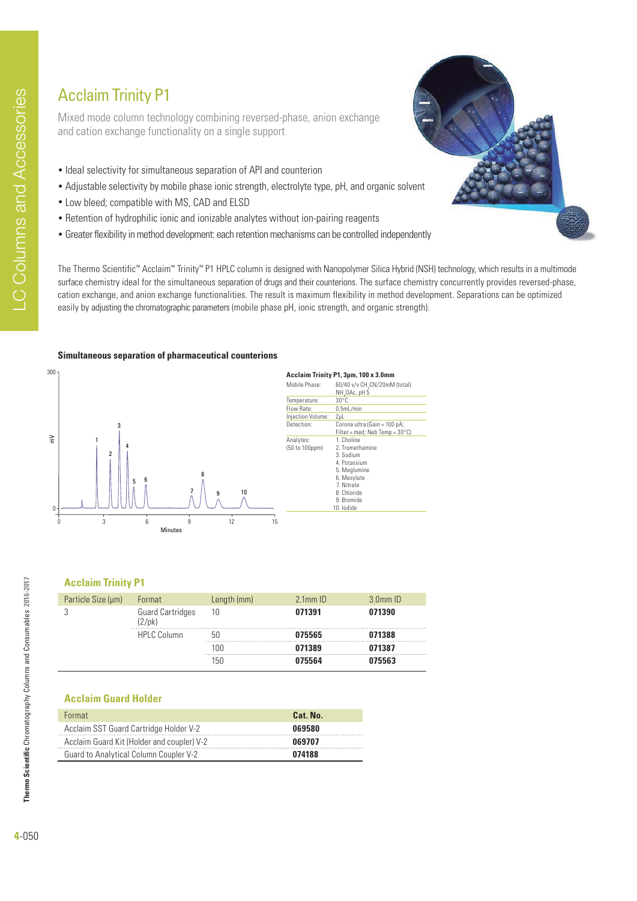# Acclaim Trinity P1

Mixed mode column technology combining reversed-phase, anion exchange and cation exchange functionality on a single support

- Ideal selectivity for simultaneous separation of API and counterion
- Adjustable selectivity by mobile phase ionic strength, electrolyte type, pH, and organic solvent
- Low bleed; compatible with MS, CAD and ELSD
- Retention of hydrophilic ionic and ionizable analytes without ion-pairing reagents
- Greater flexibility in method development: each retention mechanisms can be controlled independently

The Thermo Scientific™ Acclaim™ Trinity™ P1 HPLC column is designed with Nanopolymer Silica Hybrid (NSH) technology, which results in a multimode surface chemistry ideal for the simultaneous separation of drugs and their counterions. The surface chemistry concurrently provides reversed-phase, cation exchange, and anion exchange functionalities. The result is maximum flexibility in method development. Separations can be optimized easily by adjusting the chromatographic parameters (mobile phase pH, ionic strength, and organic strength).

#### **Simultaneous separation of pharmaceutical counterions**



#### **Acclaim Trinity P1, 3µm, 100 x 3.0mm**<br>Mobile Phase: 60/40 v/v CH<sub>2</sub>CN/20mM Mobile Phase:  $60/40$  v/v CH<sub>3</sub>CN/20mM (total) **NH<sub>4</sub>OAc, pH 5** Temperature: 30°C<br>Flow Rate: 0.5m  $65$  ML/min Injection Volume: 2μL Detection: Corona ultra (Gain = 100 pA Filter = med; Neb Temp =  $30^{\circ}$ C)<br>1. Choline Analytes:<br>(50 to 100ppm) 2. Tromethamine 3. Sodium 4. Potassium 5. Meglumine 6. Mesylate 7. Nitrate 8. Chloride 9. Bromide 10. Iodide

### **Acclaim Trinity P1**

| Particle Size (µm) | Format                  | Length (mm) | $2.1$ mm $ID$ | $3.0mm$ ID |
|--------------------|-------------------------|-------------|---------------|------------|
| $(2/\text{pk})$    | <b>Guard Cartridges</b> | 10          | 071391        | 071390     |
|                    | <b>HPLC Column</b>      | hſ          | 075565        | 071388     |
|                    |                         | 100         | 071389        | 071387     |
|                    |                         | 150         | 075564        | 075563     |

### **Acclaim Guard Holder**

| <b>Format</b>                              | Cat. No. |
|--------------------------------------------|----------|
| Acclaim SST Guard Cartridge Holder V-2     | 069580   |
| Acclaim Guard Kit (Holder and coupler) V-2 | 069707   |
| Guard to Analytical Column Coupler V-2     | 074188   |



**Thermo Scientific** Chromatography Columns and Consumables **2016-2017**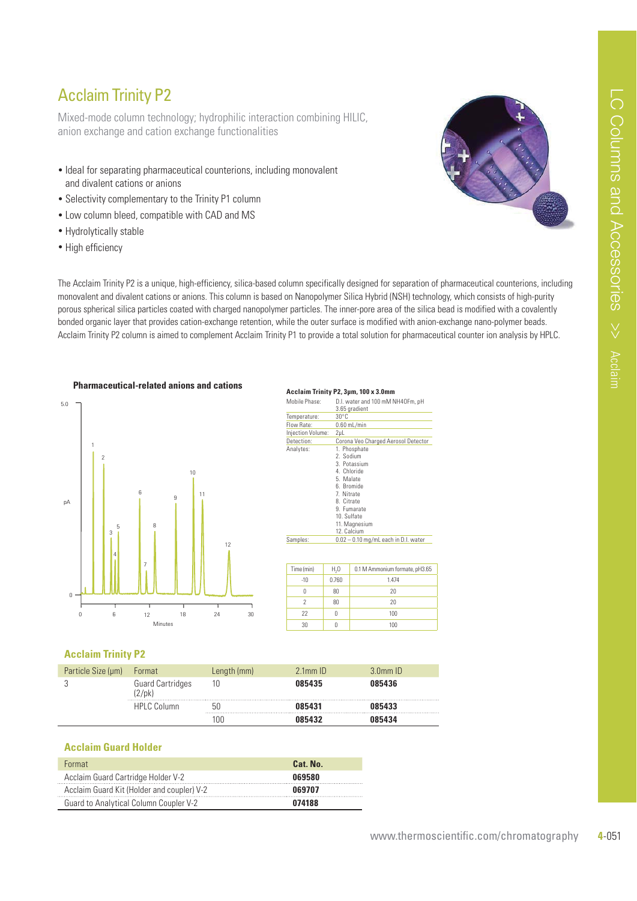### Acclaim Trinity P2

Mixed-mode column technology; hydrophilic interaction combining HILIC, anion exchange and cation exchange functionalities

- Ideal for separating pharmaceutical counterions, including monovalent and divalent cations or anions
- Selectivity complementary to the Trinity P1 column
- Low column bleed, compatible with CAD and MS
- Hydrolytically stable
- High efficiency

The Acclaim Trinity P2 is a unique, high-efficiency, silica-based column specifically designed for separation of pharmaceutical counterions, including monovalent and divalent cations or anions. This column is based on Nanopolymer Silica Hybrid (NSH) technology, which consists of high-purity porous spherical silica particles coated with charged nanopolymer particles. The inner-pore area of the silica bead is modified with a covalently bonded organic layer that provides cation-exchange retention, while the outer surface is modified with anion-exchange nano-polymer beads. Acclaim Trinity P2 column is aimed to complement Acclaim Trinity P1 to provide a total solution for pharmaceutical counter ion analysis by HPLC.

**A H**  $\frac{1}{2}$  **P**  $\frac{1}{2}$  **DD**  $\frac{1}{2}$  **DD**  $\frac{1}{2}$  **DD**  $\frac{1}{2}$  **DD**  $\frac{1}{2}$  **DD**  $\frac{1}{2}$  **DD**  $\frac{1}{2}$  **DD** 



|                   |                  | ACCIAIIII ITIIIILY FZ, JUIII, TUU X J.UIIIIII                                                                                                                 |  |  |  |  |
|-------------------|------------------|---------------------------------------------------------------------------------------------------------------------------------------------------------------|--|--|--|--|
| Mobile Phase:     |                  | D.I. water and 100 mM NH4OFm, pH<br>3.65 gradient                                                                                                             |  |  |  |  |
| Temperature:      | $30^{\circ}$ C   |                                                                                                                                                               |  |  |  |  |
| Flow Rate:        |                  | $0.60$ mL/min                                                                                                                                                 |  |  |  |  |
| Injection Volume: | $2\mu L$         |                                                                                                                                                               |  |  |  |  |
| Detection:        |                  | Corona Veo Charged Aerosol Detector                                                                                                                           |  |  |  |  |
| Analytes:         | 12. Calcium      | 1. Phosphate<br>2. Sodium<br>3. Potassium<br>4. Chloride<br>5. Malate<br>6 Bromide<br>7. Nitrate<br>8. Citrate<br>9. Fumarate<br>10. Sulfate<br>11. Magnesium |  |  |  |  |
| Samples:          |                  | $0.02 - 0.10$ mg/mL each in D.I. water                                                                                                                        |  |  |  |  |
|                   |                  |                                                                                                                                                               |  |  |  |  |
| Time (min)        | H <sub>2</sub> 0 | 0.1 M Ammonium formate, pH3.65                                                                                                                                |  |  |  |  |
| $-10$             | 0.760            | 1.474                                                                                                                                                         |  |  |  |  |
| 0                 | 80               | 20                                                                                                                                                            |  |  |  |  |

2 80 20 22 0 100 30 0 100

#### **Acclaim Trinity P2**

| Particle Size (µm) | Format                                     | Length (mm) | $2.1$ mm $ID$ | $3.0$ mm $ID$ |
|--------------------|--------------------------------------------|-------------|---------------|---------------|
|                    | <b>Guard Cartridges</b><br>$(2/\text{pk})$ | 10          | 085435        | 085436        |
|                    | <b>HPLC Column</b>                         | 50          | 085431        | 085433        |
|                    |                                            | 100         | 085432        | 085434        |

#### **Acclaim Guard Holder**

| Format                                     | Cat. No. |
|--------------------------------------------|----------|
| Acclaim Guard Cartridge Holder V-2         | 069580   |
| Acclaim Guard Kit (Holder and coupler) V-2 | 069707   |
| Guard to Analytical Column Coupler V-2     | 074188   |

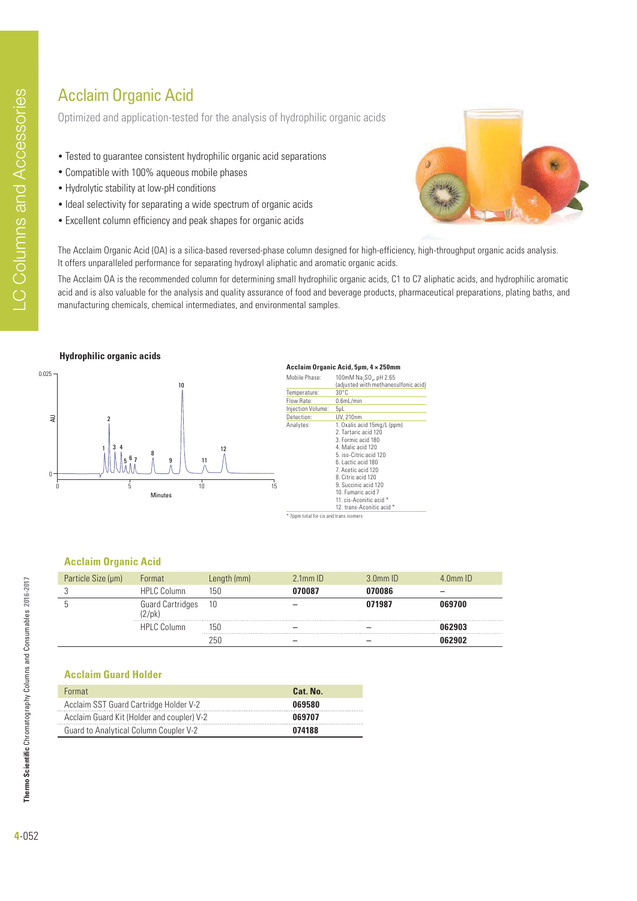# Acclaim Organic Acid

Optimized and application-tested for the analysis of hydrophilic organic acids

- Tested to guarantee consistent hydrophilic organic acid separations
- Compatible with 100% aqueous mobile phases
- Hydrolytic stability at low-pH conditions
- Ideal selectivity for separating a wide spectrum of organic acids
- Excellent column efficiency and peak shapes for organic acids



The Acclaim Organic Acid (OA) is a silica-based reversed-phase column designed for high-efficiency, high-throughput organic acids analysis. It offers unparalleled performance for separating hydroxyl aliphatic and aromatic organic acids.

The Acclaim OA is the recommended column for determining small hydrophilic organic acids, C1 to C7 aliphatic acids, and hydrophilic aromatic acid and is also valuable for the analysis and quality assurance of food and beverage products, pharmaceutical preparations, plating baths, and manufacturing chemicals, chemical intermediates, and environmental samples.





#### **Acclaim Organic Acid, 5μm, 4 × 250mm** Mobile Phase:  $100 \text{m}$ M Na<sub>2</sub>SO<sub>4</sub>, pH 2.65 (adjusted with methanesulfonic acid) Temperature<br>Flow Rate:  $0.6$ mL/min Injection Volume: 5μL Detection: UV, 210nm<br>Analytes: 1. Oxalic ac Analytes: 1. Oxalic acid 15mg/L (ppm) 2. Tartaric acid 120 3. Formic acid 180 4. Malic acid 120 5. iso-Citric acid 120 6. Lactic acid 180 7. Acetic acid 120 8. Citric acid 120 9. Succinic acid 120 10. Fumaric acid 7 11. cis-Aconitic acid \* 12. trans-Aconitic acid \*

#### \* 7ppm total for cis and trans i

#### **Acclaim Organic Acid**

| Particle Size (µm) | Format                                                               | Length (mm) | $2.1$ mm $ID$ | $3.0mm$ ID | $4.0$ mm $ID$ |
|--------------------|----------------------------------------------------------------------|-------------|---------------|------------|---------------|
|                    | HPLC Column                                                          | 150         | 070087        | 070086     |               |
|                    | Guard Cartridges<br>$(2/\mathsf{pk})$<br>*************************** | - 10        |               | 071987     | 069700        |
|                    | HPLC Column                                                          | 150         |               |            |               |
|                    |                                                                      | 250         |               |            |               |

#### **Acclaim Guard Holder**

| <b>Format</b>                              | Cat. No. |
|--------------------------------------------|----------|
| Acclaim SST Guard Cartridge Holder V-2     | 069580   |
| Acclaim Guard Kit (Holder and coupler) V-2 | 069707   |
| Guard to Analytical Column Coupler V-2     | 074188   |

**Thermo Scientific** Chromatography Columns and Consumables **2016-2017**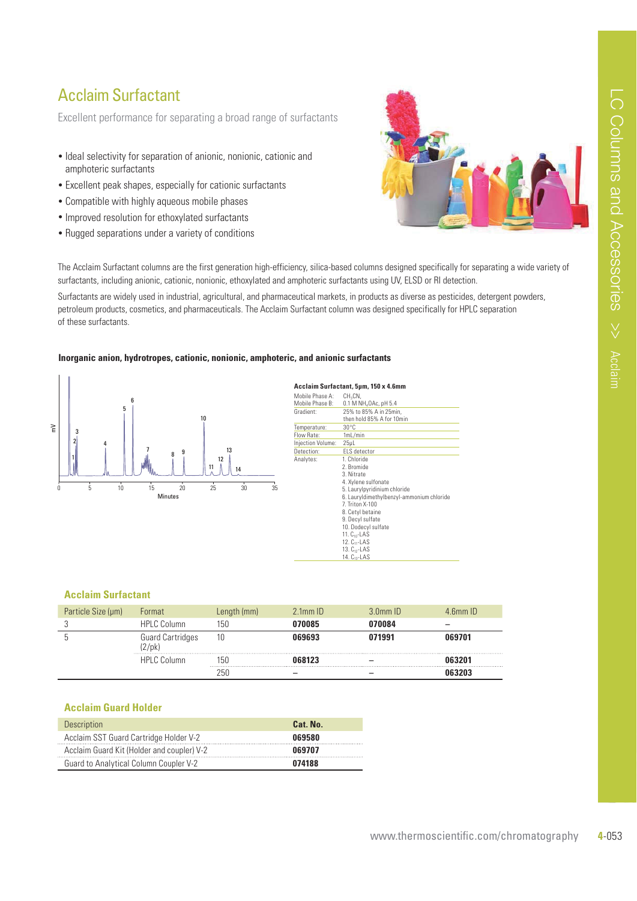### Acclaim Surfactant

Excellent performance for separating a broad range of surfactants

- Ideal selectivity for separation of anionic, nonionic, cationic and amphoteric surfactants
- Excellent peak shapes, especially for cationic surfactants
- Compatible with highly aqueous mobile phases
- Improved resolution for ethoxylated surfactants
- Rugged separations under a variety of conditions



The Acclaim Surfactant columns are the first generation high-efficiency, silica-based columns designed specifically for separating a wide variety of surfactants, including anionic, cationic, nonionic, ethoxylated and amphoteric surfactants using UV, ELSD or RI detection.

Surfactants are widely used in industrial, agricultural, and pharmaceutical markets, in products as diverse as pesticides, detergent powders, petroleum products, cosmetics, and pharmaceuticals. The Acclaim Surfactant column was designed specifically for HPLC separation of these surfactants.

#### Inorganic anion, hydrotropes, cationic, nonionic, amphoteric, and anionic surfactants



Acclaim Surfactant, 5µm, 150 x 4.6mm Mobile Phase A: CH<sub>3</sub>CN<br>Mobile Phase B: 0.1 M I Mobile Phase B: 0.1 M NH<sub>4</sub>OAc, pH 5.4<br>Gradient: 25% to 85% A in 25mi 25% to 85% A in 25min then hold 85% A for 10min Temperature: 30°C<br>Flow Rate: 1mL/mir Flow Rate: **Injection Volume** Injection Volume: 25µL<br>Detection: ELS detector Analytes: 1. Chloride 2. Bromide 3. Nitrate 4. Xylene sulfonate 5. Laurylpyridinium chloride 6. Lauryldimethylbenzyl-ammonium chloride 7. Triton X-100 8. Cetyl betaine 9. Decyl sulfate 10. Dodecyl sulfate 11. C<sub>10</sub>-LAS<br>12. C<sub>11</sub>-LAS 13.  $C_{12}$ -LAS 14. C13-LAS

#### **Acclaim Surfactant**

| Particle Size (µm) | Format                              | Length (mm) | $2.1$ mm $ID$ | $3$ 0 mm $ID$ | $F_{\rm m}$ ID |
|--------------------|-------------------------------------|-------------|---------------|---------------|----------------|
|                    | <b>HPLC Column</b>                  | 150         | 170085        | 070084        |                |
|                    | <b>Guard Cartridges</b><br>$2$ /pk) | 10          | 169693        | 071991        | 069701         |
|                    | <b>HPLC Column</b>                  | lhl         |               |               |                |
|                    |                                     | ור'         |               |               |                |

#### **Acclaim Guard Holder**

| <b>Description</b>                            | Cat. No. |
|-----------------------------------------------|----------|
| Acclaim SST Guard Cartridge Holder V-2        | 069580   |
| Acclaim Guard Kit (Holder and coupler) V-2    | 069707   |
| <b>Guard to Analytical Column Coupler V-2</b> | 074188   |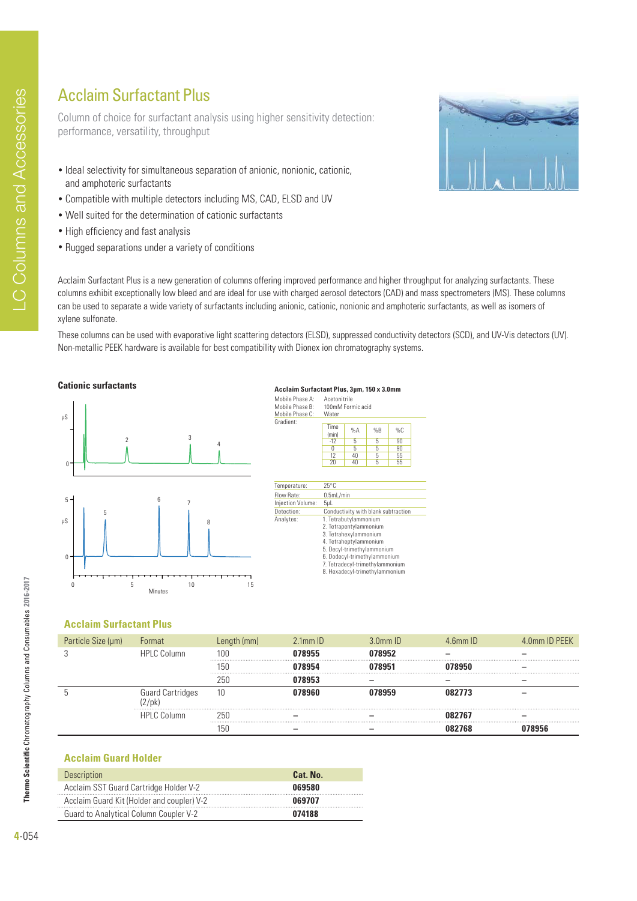### Acclaim Surfactant Plus

Column of choice for surfactant analysis using higher sensitivity detection: performance, versatility, throughput

- Ideal selectivity for simultaneous separation of anionic, nonionic, cationic, and amphoteric surfactants
- Compatible with multiple detectors including MS, CAD, ELSD and UV
- Well suited for the determination of cationic surfactants
- High efficiency and fast analysis
- Rugged separations under a variety of conditions



Acclaim Surfactant Plus is a new generation of columns offering improved performance and higher throughput for analyzing surfactants. These columns exhibit exceptionally low bleed and are ideal for use with charged aerosol detectors (CAD) and mass spectrometers (MS). These columns can be used to separate a wide variety of surfactants including anionic, cationic, nonionic and amphoteric surfactants, as well as isomers of xylene sulfonate.

These columns can be used with evaporative light scattering detectors (ELSD), suppressed conductivity detectors (SCD), and UV-Vis detectors (UV). Non-metallic PEEK hardware is available for best compatibility with Dionex ion chromatography systems.

#### **Cationic surfactants**



| Mobile Phase A:<br>Mobile Phase B:<br>Mobile Phase C: | Water         | Acetonitrile<br>100mM Formic acid |    |    |  |
|-------------------------------------------------------|---------------|-----------------------------------|----|----|--|
| Gradient:                                             | Time<br>(min) | %A                                | %B | %C |  |
|                                                       | $-12$         | 5                                 | 5  | 90 |  |
|                                                       | 0             | 5                                 | 5  | 90 |  |
|                                                       | 12            | 40                                | 5  | 55 |  |
|                                                       | 5             | 55                                |    |    |  |

Acclaim Surfactant Plus, 3µm, 150 x 3.0mm

| Temperature:      | $25^{\circ}$ C                                                                                                                                                                                                                        |
|-------------------|---------------------------------------------------------------------------------------------------------------------------------------------------------------------------------------------------------------------------------------|
| Flow Rate:        | 0.5mL/min                                                                                                                                                                                                                             |
| Injection Volume: | 5 <sub>µ</sub>                                                                                                                                                                                                                        |
| Detection:        | Conductivity with blank subtraction                                                                                                                                                                                                   |
| Analytes:         | 1. Tetrabutylammonium<br>2. Tetrapentylammonium<br>3. Tetrahexylammonium<br>4. Tetraheptylammonium<br>5. Decyl-trimethylammonium<br>6. Dodecyl-trimethylammonium<br>7. Tetradecyl-trimethylammonium<br>8. Hexadecyl-trimethylammonium |
|                   |                                                                                                                                                                                                                                       |

### **Acclaim Surfactant Plus**

| Particle Size (µm) | Format             |     | $21mm$ ID | $3.0$ mm $1D$ | $4$ 6mm $10^{-1}$ | 4.0mm ID PEEK |
|--------------------|--------------------|-----|-----------|---------------|-------------------|---------------|
|                    | <b>HPLC Column</b> | 100 |           |               |                   |               |
|                    |                    |     |           |               |                   |               |
|                    |                    | 251 |           |               |                   |               |
|                    | Guard Cartridges   | ΊU  |           |               | 082773            |               |
|                    | <b>HPLC Column</b> |     |           |               | <b>182767</b>     |               |
|                    |                    |     |           |               |                   |               |

#### **Acclaim Guard Holder**

| Description                                   | Cat. No. |
|-----------------------------------------------|----------|
| Acclaim SST Guard Cartridge Holder V-2        | 069580   |
| Acclaim Guard Kit (Holder and coupler) V-2    | 069707   |
| <b>Guard to Analytical Column Coupler V-2</b> | 074188   |

**Thermo Scientific** Chromatography Columns and Consumables **2016-2017**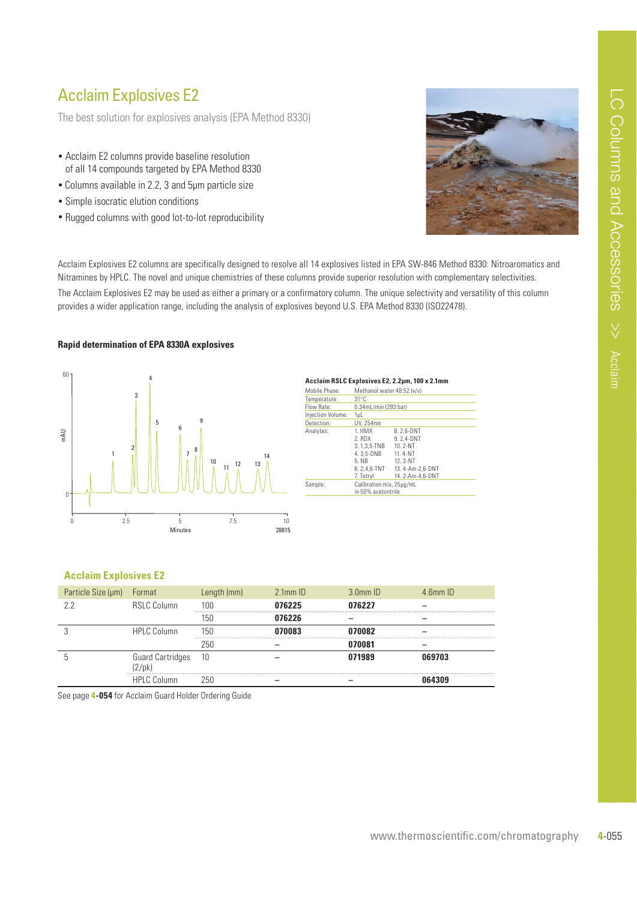### Acclaim Explosives E2

The best solution for explosives analysis (EPA Method 8330)

- Acclaim E2 columns provide baseline resolution of all 14 compounds targeted by EPA Method 8330
- Columns available in 2.2, 3 and 5µm particle size
- Simple isocratic elution conditions
- Rugged columns with good lot-to-lot reproducibility



Acclaim Explosives E2 columns are specifically designed to resolve all 14 explosives listed in EPA SW-846 Method 8330: Nitroaromatics and Nitramines by HPLC. The novel and unique chemistries of these columns provide superior resolution with complementary selectivities.

The Acclaim Explosives E2 may be used as either a primary or a confirmatory column. The unique selectivity and versatility of this column provides a wider application range, including the analysis of explosives beyond U.S. EPA Method 8330 (ISO22478).

#### **Rapid determination of EPA 8330A explosives**



#### Acclaim RSLC Explosives E2, 2, 2um, 100 x 2,1mm

| Mobile Phase:     | Methanol: water 48:52 (y/y)                                                       |                                                                                                    |  |  |
|-------------------|-----------------------------------------------------------------------------------|----------------------------------------------------------------------------------------------------|--|--|
| Temperature:      | $31^{\circ}$ C                                                                    |                                                                                                    |  |  |
| Flow Rate:        | 0.34mL/min (293 bar)                                                              |                                                                                                    |  |  |
| Injection Volume: | 1µL                                                                               |                                                                                                    |  |  |
| Detection:        | UV. 254nm                                                                         |                                                                                                    |  |  |
| Analytes:         | 1. HMX<br>2. RDX<br>3.1.3.5-TNB<br>4.3.5-DNB<br>5. NB<br>6.2.4.6-TNT<br>7. Tetryl | 8.2,6-DNT<br>9.2.4-DNT<br>$10.2 - NT$<br>11.4-NT<br>12.3-NT<br>13.4-Am-2.6-DNT<br>14. 2-Am-4,6-DNT |  |  |
| Sample:           | Calibration mix, 25µg/mL<br>in 50% acetontrile                                    |                                                                                                    |  |  |
|                   |                                                                                   |                                                                                                    |  |  |

#### **Acclaim Explosives E2**

| Particle Size (µm) | Format                              | Length (mm) | $2.1$ mm $ID$ | $3.0mm$ ID | $4.6$ mm $ID$ |
|--------------------|-------------------------------------|-------------|---------------|------------|---------------|
| 22                 | <b>RSLC Column</b>                  | 100         | 076225        | 076227     |               |
|                    |                                     | 150         | 076226        |            |               |
|                    | <b>HPLC Column</b>                  | 150         | N7NN83        | 070082     |               |
|                    |                                     | 250         |               | 070081     |               |
|                    | <b>Guard Cartridges</b><br>$2$ /pk) | 10          |               | 071989     | 069703        |
|                    | <b>HPLC Column</b>                  | 250         |               |            | NG43N9        |

See page **4-054** for Acclaim Guard Holder Ordering Guide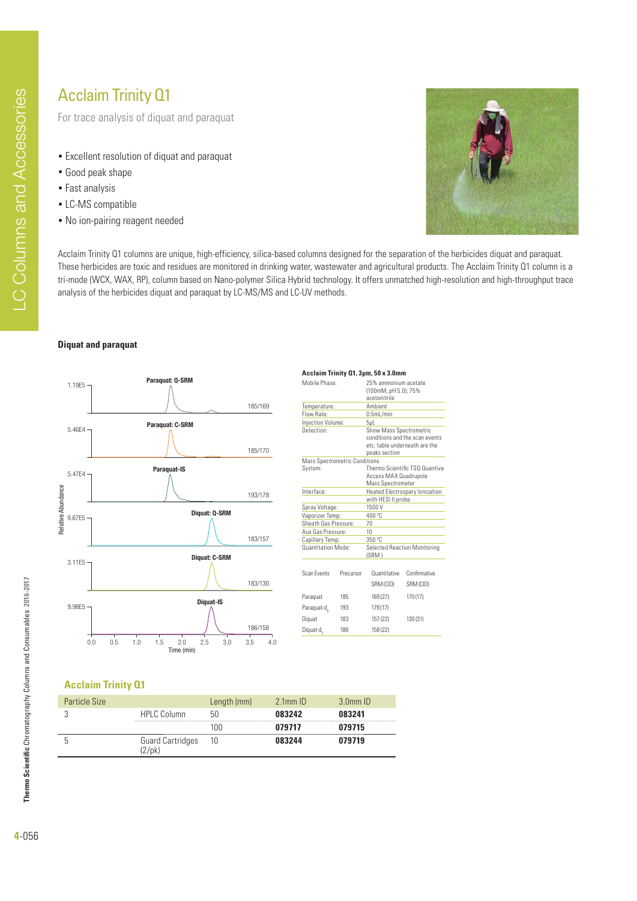For trace analysis of diquat and paraquat

- Excellent resolution of diquat and paraquat
- Good peak shape
- Fast analysis
- LC-MS compatible
- No ion-pairing reagent needed



Acclaim Trinity Q1 columns are unique, high-efficiency, silica-based columns designed for the separation of the herbicides diquat and paraquat. These herbicides are toxic and residues are monitored in drinking water, wastewater and agricultural products. The Acclaim Trinity Q1 column is a tri-mode (WCX, WAX, RP), column based on Nano-polymer Silica Hybrid technology. It offers unmatched high-resolution and high-throughput trace analysis of the herbicides diquat and paraquat by LC-MS/MS and LC-UV methods.

#### **Diquat and paraquat**



#### Acclaim Trinity **Q1, 3μm, 50 x 3.0mm**

| Mobile Phase:                        |           | 25% ammonium acetate                  |                                |  |  |
|--------------------------------------|-----------|---------------------------------------|--------------------------------|--|--|
|                                      |           | (100mM, pH 5.0): 75%                  |                                |  |  |
|                                      |           | acetonitrile<br>Ambient               |                                |  |  |
| Temperature:<br>Flow Rate:           |           | 0.5mL/min                             |                                |  |  |
| Injection Volume:                    |           | 5 <sub>µ</sub>                        |                                |  |  |
| Detection:                           |           | <b>Show Mass Spectrometric</b>        |                                |  |  |
|                                      |           |                                       | conditions and the scan events |  |  |
|                                      |           | etc. table underneath are the         |                                |  |  |
|                                      |           | peaks section                         |                                |  |  |
| <b>Mass Spectrometric Conditions</b> |           |                                       |                                |  |  |
| System:                              |           |                                       | Thermo Scientific TSO Quantiva |  |  |
|                                      |           | Access MAX Quadrupole                 |                                |  |  |
|                                      |           | <b>Mass Spectrometer</b>              |                                |  |  |
| Interface:                           |           | <b>Heated Electrospary lonization</b> |                                |  |  |
|                                      |           | with HESI II probe                    |                                |  |  |
| Spray Voltage:                       |           | 1500V                                 |                                |  |  |
| Vaporizer Temp:                      |           | 400 °C                                |                                |  |  |
| Sheath Gas Pressure:                 |           | 70                                    |                                |  |  |
| Aux Gas Pressure:                    |           | 10                                    |                                |  |  |
| Capillary Temp:                      |           | 350°C                                 |                                |  |  |
| <b>Ouantitation Mode:</b>            |           | Selected Reaction Monitoring<br>(SRM) |                                |  |  |
|                                      |           |                                       |                                |  |  |
| Scan Fvents                          | Precursor | Ouantitative                          | Confirmative                   |  |  |
|                                      |           | SRM (CID)                             | SRM (CID)                      |  |  |
| Paraquat                             | 185       | 169(27)                               | 170 (17)                       |  |  |
| Paraquat-d                           | 193       | 178 (17)                              |                                |  |  |
| Diguat                               | 183       | 157 (22)<br>130 (31)                  |                                |  |  |
| Diquat-d <sub>2</sub>                | 186       | 158 (22)                              |                                |  |  |
|                                      |           |                                       |                                |  |  |

### **Acclaim Trinity Q1**

| <b>Particle Size</b> |                                        | Length (mm) | $2.1$ mm $ID$ | $3.0mm$ ID |
|----------------------|----------------------------------------|-------------|---------------|------------|
|                      | <b>HPLC Column</b>                     | 50          | 083242        | 083241     |
|                      |                                        | 100         | 079717        | 079715     |
|                      | <b>Guard Cartridges</b><br>$2$ /pk $)$ |             | 083244        | 079719     |

**Thermo Scientific** Chromatography Columns and Consumables **2016-2017**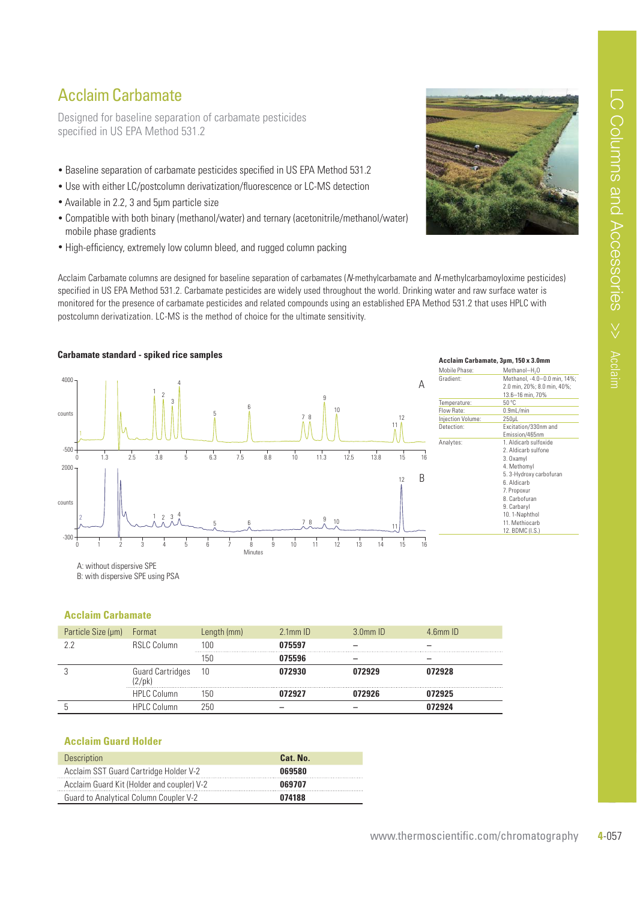### Acclaim Carbamate

Designed for baseline separation of carbamate pesticides specified in US EPA Method 531.2

- Baseline separation of carbamate pesticides specified in US EPA Method 531.2
- Use with either LC/postcolumn derivatization/fluorescence or LC-MS detection
- Available in 2.2, 3 and 5µm particle size
- Compatible with both binary (methanol/water) and ternary (acetonitrile/methanol/water) mobile phase gradients
- High-efficiency, extremely low column bleed, and rugged column packing



Acclaim Carbamate columns are designed for baseline separation of carbamates (N-methylcarbamate and N-methylcarbamoyloxime pesticides) specified in US EPA Method 531.2. Carbamate pesticides are widely used throughout the world. Drinking water and raw surface water is monitored for the presence of carbamate pesticides and related compounds using an established EPA Method 531.2 that uses HPLC with postcolumn derivatization. LC-MS is the method of choice for the ultimate sensitivity.



A: without dispersive SPE

B: with dispersive SPE using PSA

### **Acclaim Carbamate**

| Particle Size (µm) | Format                                     | Length (mm) | $2.1$ mm $ID$ | $3.0mm$ ID | $4.6$ mm $ID$ |
|--------------------|--------------------------------------------|-------------|---------------|------------|---------------|
| 22                 | <b>RSLC Column</b>                         | 100         | 075597        |            |               |
|                    |                                            | 156         | 075596        |            |               |
|                    | <b>Guard Cartridges</b><br>$(2/\text{pk})$ | -10         | 072930        | 072929     | 072928        |
|                    | <b>HPLC Column</b>                         | Ibl.        |               | 172926     | 172925        |
|                    | <b>HPLC Column</b>                         | 250         |               |            | 72924         |

#### **Acclaim Guard Holder**

| <b>Description</b>                         | Cat. No. |
|--------------------------------------------|----------|
| Acclaim SST Guard Cartridge Holder V-2     | 069580   |
| Acclaim Guard Kit (Holder and coupler) V-2 | 069707   |
| Guard to Analytical Column Coupler V-2     | 074188   |